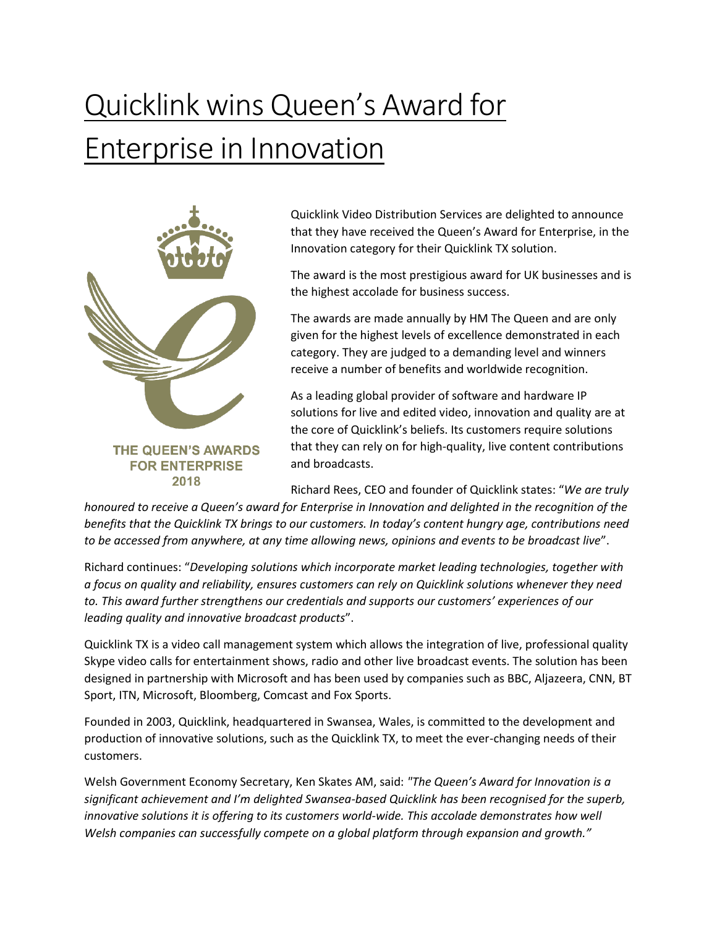## Quicklink wins Queen's Award for **Enterprise in Innovation**



Quicklink Video Distribution Services are delighted to announce that they have received the Queen's Award for Enterprise, in the Innovation category for their Quicklink TX solution.

The award is the most prestigious award for UK businesses and is the highest accolade for business success.

The awards are made annually by HM The Queen and are only given for the highest levels of excellence demonstrated in each category. They are judged to a demanding level and winners receive a number of benefits and worldwide recognition.

As a leading global provider of software and hardware IP solutions for live and edited video, innovation and quality are at the core of Quicklink's beliefs. Its customers require solutions that they can rely on for high-quality, live content contributions and broadcasts.

Richard Rees, CEO and founder of Quicklink states: "*We are truly* 

*honoured to receive a Queen's award for Enterprise in Innovation and delighted in the recognition of the benefits that the Quicklink TX brings to our customers. In today's content hungry age, contributions need to be accessed from anywhere, at any time allowing news, opinions and events to be broadcast live*".

Richard continues: "*Developing solutions which incorporate market leading technologies, together with a focus on quality and reliability, ensures customers can rely on Quicklink solutions whenever they need to. This award further strengthens our credentials and supports our customers' experiences of our leading quality and innovative broadcast products*".

Quicklink TX is a video call management system which allows the integration of live, professional quality Skype video calls for entertainment shows, radio and other live broadcast events. The solution has been designed in partnership with Microsoft and has been used by companies such as BBC, Aljazeera, CNN, BT Sport, ITN, Microsoft, Bloomberg, Comcast and Fox Sports.

Founded in 2003, Quicklink, headquartered in Swansea, Wales, is committed to the development and production of innovative solutions, such as the Quicklink TX, to meet the ever-changing needs of their customers.

Welsh Government Economy Secretary, Ken Skates AM, said: *"The Queen's Award for Innovation is a significant achievement and I'm delighted Swansea-based Quicklink has been recognised for the superb, innovative solutions it is offering to its customers world-wide. This accolade demonstrates how well Welsh companies can successfully compete on a global platform through expansion and growth."*